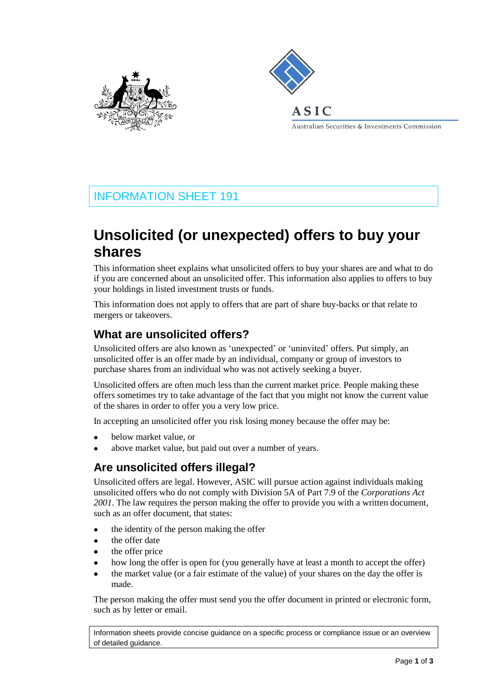



Australian Securities & Investments Commission

# INFORMATION SHEET 191

# **Unsolicited (or unexpected) offers to buy your shares**

This information sheet explains what unsolicited offers to buy your shares are and what to do if you are concerned about an unsolicited offer. This information also applies to offers to buy your holdings in listed investment trusts or funds.

This information does not apply to offers that are part of share buy-backs or that relate to mergers or takeovers.

## **What are unsolicited offers?**

Unsolicited offers are also known as 'unexpected' or 'uninvited' offers. Put simply, an unsolicited offer is an offer made by an individual, company or group of investors to purchase shares from an individual who was not actively seeking a buyer.

Unsolicited offers are often much less than the current market price. People making these offers sometimes try to take advantage of the fact that you might not know the current value of the shares in order to offer you a very low price.

In accepting an unsolicited offer you risk losing money because the offer may be:

- below market value, or
- above market value, but paid out over a number of years.

# **Are unsolicited offers illegal?**

Unsolicited offers are legal. However, ASIC will pursue action against individuals making unsolicited offers who do not comply with Division 5A of Part 7.9 of the *Corporations Act 2001*. The law requires the person making the offer to provide you with a written document, such as an offer document, that states:

- the identity of the person making the offer
- the offer date
- the offer price
- how long the offer is open for (you generally have at least a month to accept the offer)
- the market value (or a fair estimate of the value) of your shares on the day the offer is made.

The person making the offer must send you the offer document in printed or electronic form, such as by letter or email.

Information sheets provide concise guidance on a specific process or compliance issue or an overview of detailed guidance.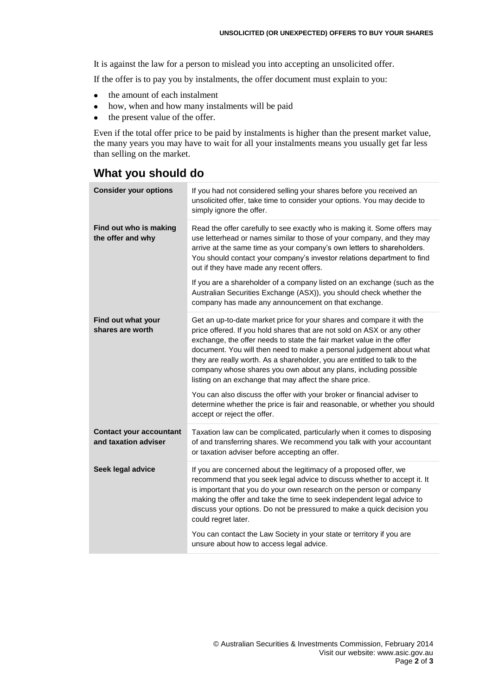It is against the law for a person to mislead you into accepting an unsolicited offer.

If the offer is to pay you by instalments, the offer document must explain to you:

- $\bullet$ the amount of each instalment
- how, when and how many instalments will be paid
- the present value of the offer.  $\bullet$

Even if the total offer price to be paid by instalments is higher than the present market value, the many years you may have to wait for all your instalments means you usually get far less than selling on the market.

#### **What you should do**

| <b>Consider your options</b>                           | If you had not considered selling your shares before you received an<br>unsolicited offer, take time to consider your options. You may decide to<br>simply ignore the offer.                                                                                                                                                                                                                                                                                                                                                                                                                                                                                                                         |
|--------------------------------------------------------|------------------------------------------------------------------------------------------------------------------------------------------------------------------------------------------------------------------------------------------------------------------------------------------------------------------------------------------------------------------------------------------------------------------------------------------------------------------------------------------------------------------------------------------------------------------------------------------------------------------------------------------------------------------------------------------------------|
| Find out who is making<br>the offer and why            | Read the offer carefully to see exactly who is making it. Some offers may<br>use letterhead or names similar to those of your company, and they may<br>arrive at the same time as your company's own letters to shareholders.<br>You should contact your company's investor relations department to find<br>out if they have made any recent offers.                                                                                                                                                                                                                                                                                                                                                 |
|                                                        | If you are a shareholder of a company listed on an exchange (such as the<br>Australian Securities Exchange (ASX)), you should check whether the<br>company has made any announcement on that exchange.                                                                                                                                                                                                                                                                                                                                                                                                                                                                                               |
| Find out what your<br>shares are worth                 | Get an up-to-date market price for your shares and compare it with the<br>price offered. If you hold shares that are not sold on ASX or any other<br>exchange, the offer needs to state the fair market value in the offer<br>document. You will then need to make a personal judgement about what<br>they are really worth. As a shareholder, you are entitled to talk to the<br>company whose shares you own about any plans, including possible<br>listing on an exchange that may affect the share price.<br>You can also discuss the offer with your broker or financial adviser to<br>determine whether the price is fair and reasonable, or whether you should<br>accept or reject the offer. |
| <b>Contact your accountant</b><br>and taxation adviser | Taxation law can be complicated, particularly when it comes to disposing<br>of and transferring shares. We recommend you talk with your accountant<br>or taxation adviser before accepting an offer.                                                                                                                                                                                                                                                                                                                                                                                                                                                                                                 |
| Seek legal advice                                      | If you are concerned about the legitimacy of a proposed offer, we<br>recommend that you seek legal advice to discuss whether to accept it. It<br>is important that you do your own research on the person or company<br>making the offer and take the time to seek independent legal advice to<br>discuss your options. Do not be pressured to make a quick decision you<br>could regret later.                                                                                                                                                                                                                                                                                                      |
|                                                        | You can contact the Law Society in your state or territory if you are<br>unsure about how to access legal advice.                                                                                                                                                                                                                                                                                                                                                                                                                                                                                                                                                                                    |